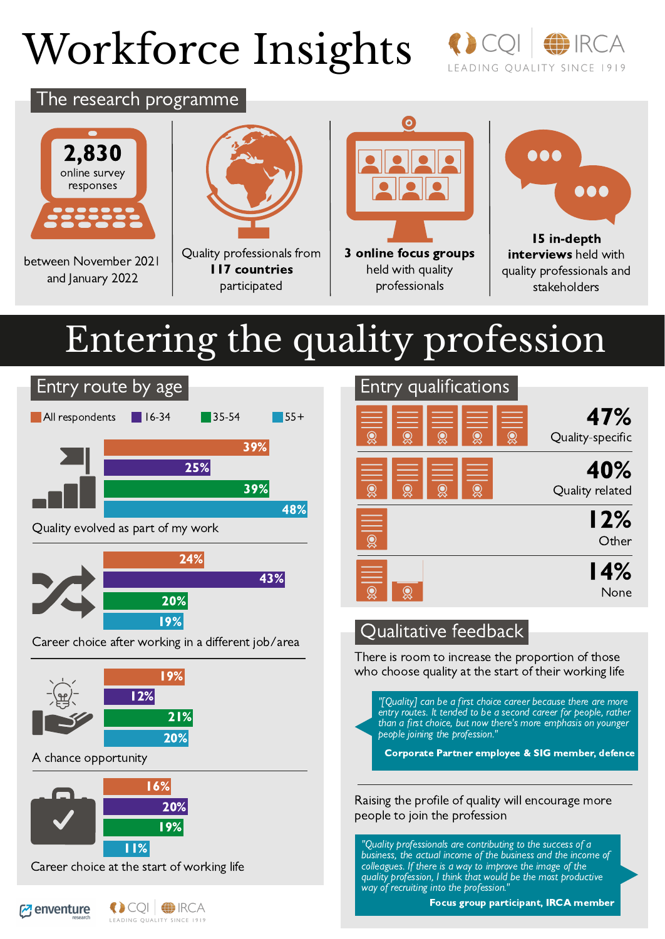# Workforce Insights



### The research programme



between November 2021 and January 2022



Quality professionals from 117 countries participated



3 online focus groups held with quality p r o fe s sio n als



1 5 i n - d e p t h interviews held with quality professionals and s t a k e h old e r s

## Entering the quality profession



LEADING QUALITY SINCE 1919



### Qualitative feedback

There is room to increase the proportion of those who choose quality at the start of their working life

Corporate Partner employee & SIG member, defence "[Ouglity] can be a first choice career because there are more entry routes. It tended to be a second career for beoble, rather than a first choice, but now there's more embhasis on vounger people joining the profession."

Raising the profile of quality will encourage more people to join the profession



Focus group participant, IRCA member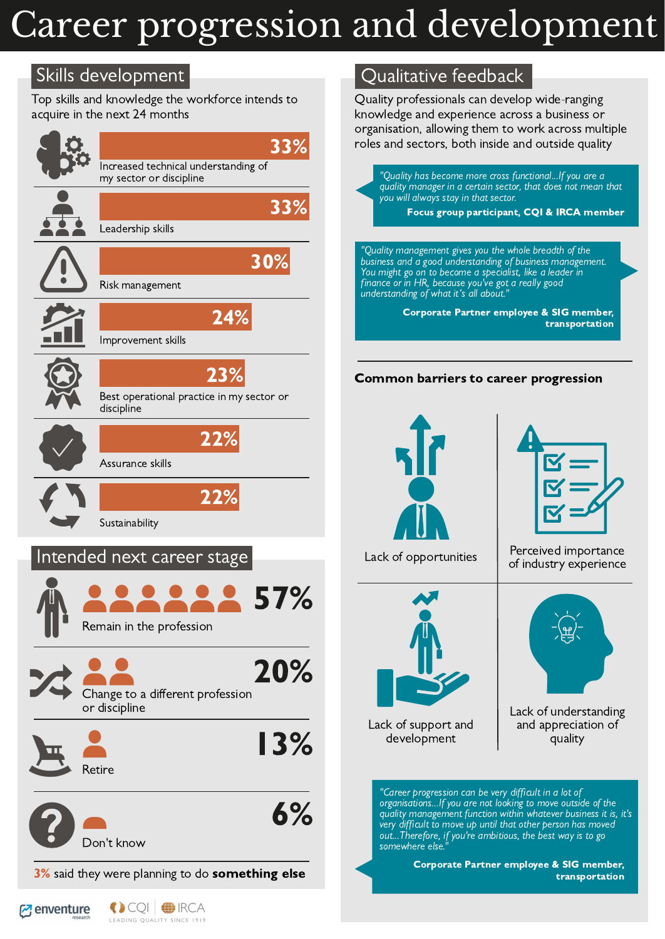## Career progression and development

### Skills development

Top skills and knowledge the workforce intends to acquire in the next 24 months



 $\bigcirc$ cqi $\bigcirc$ irca

LEADING QUALITY SINCE 1919

**M** enventure

### Oualitative feedback

Ouality professionals can develop wide-ranging knowledge and experience across a business or organisation, allowing them to work across multiple roles and sectors, both inside and outside quality

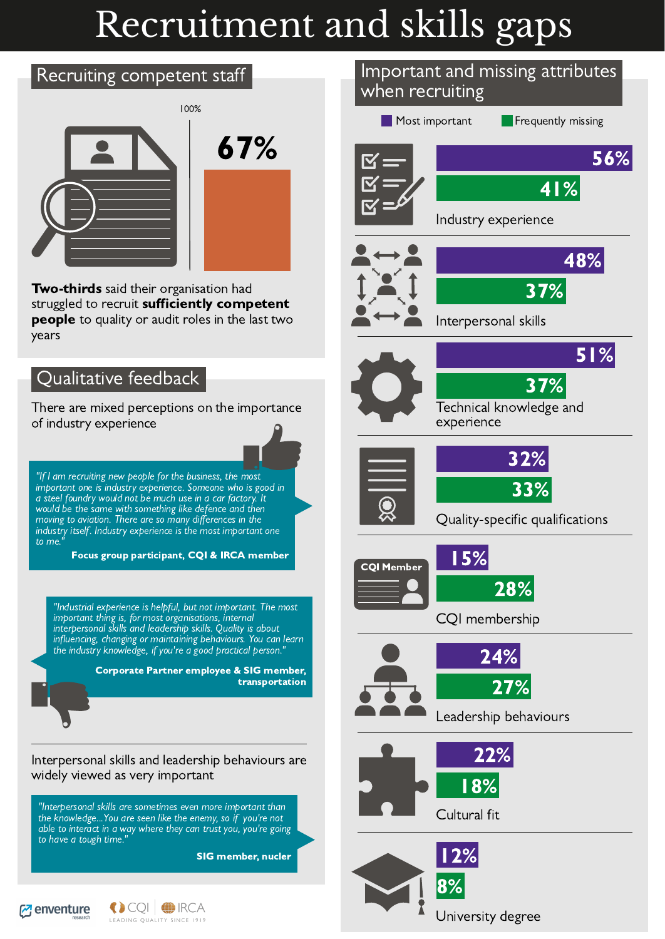## Recruitment and skills gaps



University degree

 $\mathcal{P}$  enventure